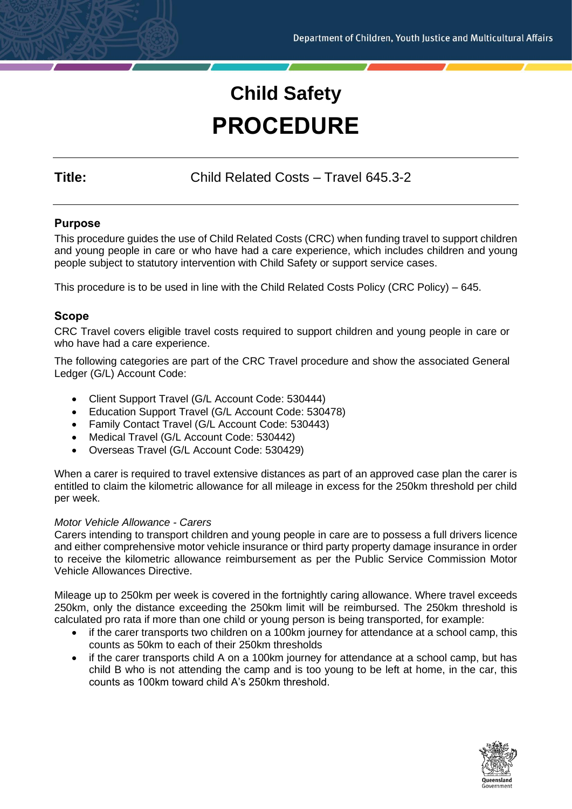# **Child Safety PROCEDURE**

**Title:** Child Related Costs – Travel 645.3-2

# **Purpose**

This procedure guides the use of Child Related Costs (CRC) when funding travel to support children and young people in care or who have had a care experience, which includes children and young people subject to statutory intervention with Child Safety or support service cases.

This procedure is to be used in line with the Child Related Costs Policy (CRC Policy) – 645.

# **Scope**

CRC Travel covers eligible travel costs required to support children and young people in care or who have had a care experience.

The following categories are part of the CRC Travel procedure and show the associated General Ledger (G/L) Account Code:

- Client Support Travel (G/L Account Code: 530444)
- Education Support Travel (G/L Account Code: 530478)
- Family Contact Travel (G/L Account Code: 530443)
- Medical Travel (G/L Account Code: 530442)
- Overseas Travel (G/L Account Code: 530429)

When a carer is required to travel extensive distances as part of an approved case plan the carer is entitled to claim the kilometric allowance for all mileage in excess for the 250km threshold per child per week.

# *Motor Vehicle Allowance - Carers*

Carers intending to transport children and young people in care are to possess a full drivers licence and either comprehensive motor vehicle insurance or third party property damage insurance in order to receive the kilometric allowance reimbursement as per the Public Service Commission Motor Vehicle Allowances Directive.

Mileage up to 250km per week is covered in the fortnightly caring allowance. Where travel exceeds 250km, only the distance exceeding the 250km limit will be reimbursed. The 250km threshold is calculated pro rata if more than one child or young person is being transported, for example:

- if the carer transports two children on a 100km journey for attendance at a school camp, this counts as 50km to each of their 250km thresholds
- if the carer transports child A on a 100km journey for attendance at a school camp, but has child B who is not attending the camp and is too young to be left at home, in the car, this counts as 100km toward child A's 250km threshold.

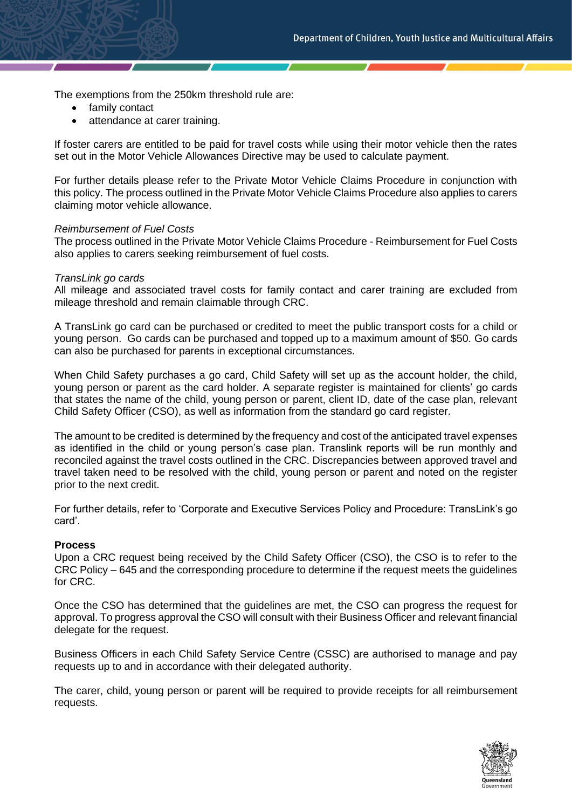The exemptions from the 250km threshold rule are:

- family contact
- attendance at carer training.

If foster carers are entitled to be paid for travel costs while using their motor vehicle then the rates set out in the Motor Vehicle Allowances Directive may be used to calculate payment.

For further details please refer to the Private Motor Vehicle Claims Procedure in conjunction with this policy. The process outlined in the Private Motor Vehicle Claims Procedure also applies to carers claiming motor vehicle allowance.

#### *Reimbursement of Fuel Costs*

The process outlined in the Private Motor Vehicle Claims Procedure - Reimbursement for Fuel Costs also applies to carers seeking reimbursement of fuel costs.

#### *TransLink go cards*

All mileage and associated travel costs for family contact and carer training are excluded from mileage threshold and remain claimable through CRC.

A TransLink go card can be purchased or credited to meet the public transport costs for a child or young person. Go cards can be purchased and topped up to a maximum amount of \$50. Go cards can also be purchased for parents in exceptional circumstances.

When Child Safety purchases a go card, Child Safety will set up as the account holder, the child, young person or parent as the card holder. A separate register is maintained for clients' go cards that states the name of the child, young person or parent, client ID, date of the case plan, relevant Child Safety Officer (CSO), as well as information from the standard go card register.

The amount to be credited is determined by the frequency and cost of the anticipated travel expenses as identified in the child or young person's case plan. Translink reports will be run monthly and reconciled against the travel costs outlined in the CRC. Discrepancies between approved travel and travel taken need to be resolved with the child, young person or parent and noted on the register prior to the next credit.

For further details, refer to 'Corporate and Executive Services Policy and Procedure: TransLink's go card'.

#### **Process**

Upon a CRC request being received by the Child Safety Officer (CSO), the CSO is to refer to the CRC Policy – 645 and the corresponding procedure to determine if the request meets the guidelines for CRC.

Once the CSO has determined that the guidelines are met, the CSO can progress the request for approval. To progress approval the CSO will consult with their Business Officer and relevant financial delegate for the request.

Business Officers in each Child Safety Service Centre (CSSC) are authorised to manage and pay requests up to and in accordance with their delegated authority.

The carer, child, young person or parent will be required to provide receipts for all reimbursement requests.

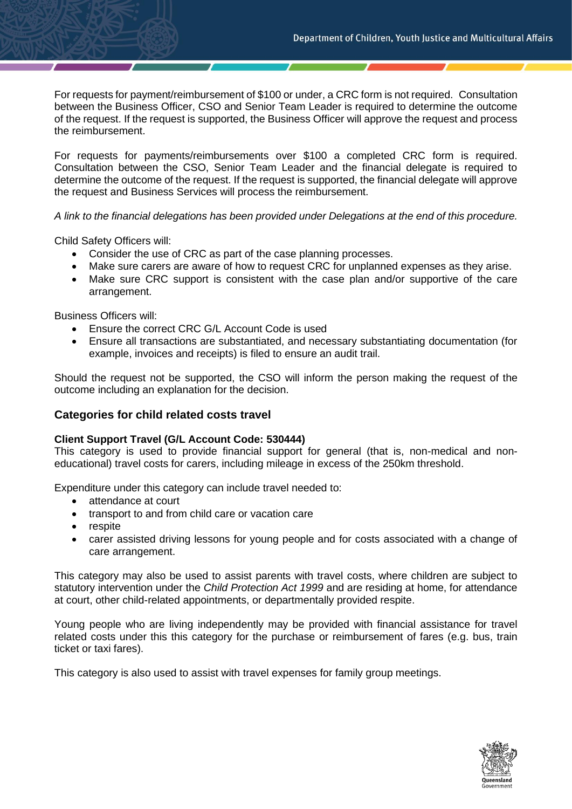For requests for payment/reimbursement of \$100 or under, a CRC form is not required. Consultation between the Business Officer, CSO and Senior Team Leader is required to determine the outcome of the request. If the request is supported, the Business Officer will approve the request and process the reimbursement.

For requests for payments/reimbursements over \$100 a completed CRC form is required. Consultation between the CSO, Senior Team Leader and the financial delegate is required to determine the outcome of the request. If the request is supported, the financial delegate will approve the request and Business Services will process the reimbursement.

*A link to the financial delegations has been provided under Delegations at the end of this procedure.*

Child Safety Officers will:

- Consider the use of CRC as part of the case planning processes.
- Make sure carers are aware of how to request CRC for unplanned expenses as they arise.
- Make sure CRC support is consistent with the case plan and/or supportive of the care arrangement.

Business Officers will:

- Ensure the correct CRC G/L Account Code is used
- Ensure all transactions are substantiated, and necessary substantiating documentation (for example, invoices and receipts) is filed to ensure an audit trail.

Should the request not be supported, the CSO will inform the person making the request of the outcome including an explanation for the decision.

# **Categories for child related costs travel**

#### **Client Support Travel (G/L Account Code: 530444)**

This category is used to provide financial support for general (that is, non-medical and noneducational) travel costs for carers, including mileage in excess of the 250km threshold.

Expenditure under this category can include travel needed to:

- attendance at court
- transport to and from child care or vacation care
- respite
- carer assisted driving lessons for young people and for costs associated with a change of care arrangement.

This category may also be used to assist parents with travel costs, where children are subject to statutory intervention under the *Child Protection Act 1999* and are residing at home, for attendance at court, other child-related appointments, or departmentally provided respite.

Young people who are living independently may be provided with financial assistance for travel related costs under this this category for the purchase or reimbursement of fares (e.g. bus, train ticket or taxi fares).

This category is also used to assist with travel expenses for family group meetings.

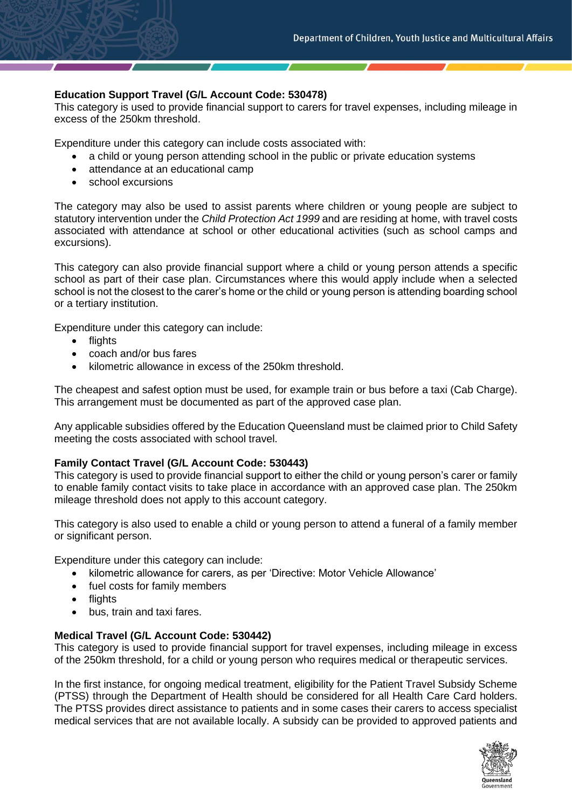# **Education Support Travel (G/L Account Code: 530478)**

This category is used to provide financial support to carers for travel expenses, including mileage in excess of the 250km threshold.

Expenditure under this category can include costs associated with:

- a child or young person attending school in the public or private education systems
- attendance at an educational camp
- school excursions

The category may also be used to assist parents where children or young people are subject to statutory intervention under the *Child Protection Act 1999* and are residing at home, with travel costs associated with attendance at school or other educational activities (such as school camps and excursions).

This category can also provide financial support where a child or young person attends a specific school as part of their case plan. Circumstances where this would apply include when a selected school is not the closest to the carer's home or the child or young person is attending boarding school or a tertiary institution.

Expenditure under this category can include:

- flights
- coach and/or bus fares
- kilometric allowance in excess of the 250km threshold.

The cheapest and safest option must be used, for example train or bus before a taxi (Cab Charge). This arrangement must be documented as part of the approved case plan.

Any applicable subsidies offered by the Education Queensland must be claimed prior to Child Safety meeting the costs associated with school travel.

#### **Family Contact Travel (G/L Account Code: 530443)**

This category is used to provide financial support to either the child or young person's carer or family to enable family contact visits to take place in accordance with an approved case plan. The 250km mileage threshold does not apply to this account category.

This category is also used to enable a child or young person to attend a funeral of a family member or significant person.

Expenditure under this category can include:

- kilometric allowance for carers, as per 'Directive: Motor Vehicle Allowance'
- fuel costs for family members
- flights
- bus, train and taxi fares.

#### **Medical Travel (G/L Account Code: 530442)**

This category is used to provide financial support for travel expenses, including mileage in excess of the 250km threshold, for a child or young person who requires medical or therapeutic services.

In the first instance, for ongoing medical treatment, eligibility for the Patient Travel Subsidy Scheme (PTSS) through the Department of Health should be considered for all Health Care Card holders. The PTSS provides direct assistance to patients and in some cases their carers to access specialist medical services that are not available locally. A subsidy can be provided to approved patients and

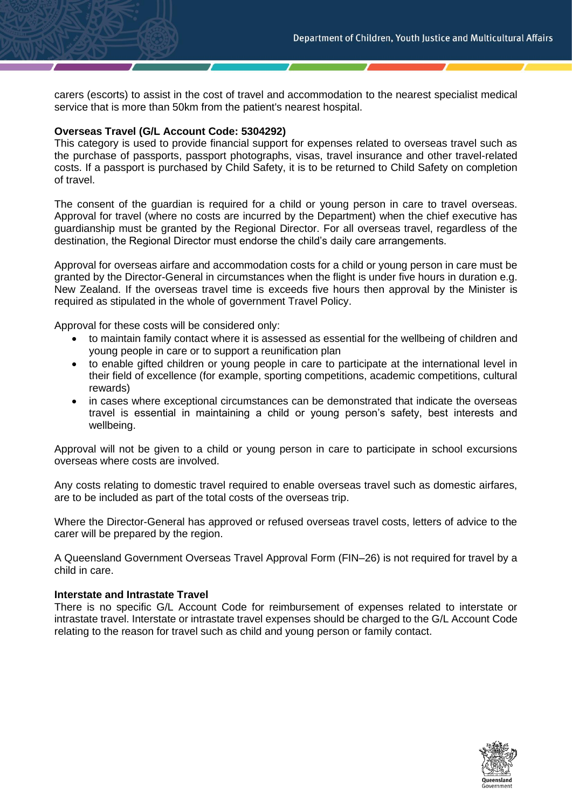carers (escorts) to assist in the cost of travel and accommodation to the nearest specialist medical service that is more than 50km from the patient's nearest hospital.

#### **Overseas Travel (G/L Account Code: 5304292)**

This category is used to provide financial support for expenses related to overseas travel such as the purchase of passports, passport photographs, visas, travel insurance and other travel-related costs. If a passport is purchased by Child Safety, it is to be returned to Child Safety on completion of travel.

The consent of the guardian is required for a child or young person in care to travel overseas. Approval for travel (where no costs are incurred by the Department) when the chief executive has guardianship must be granted by the Regional Director. For all overseas travel, regardless of the destination, the Regional Director must endorse the child's daily care arrangements.

Approval for overseas airfare and accommodation costs for a child or young person in care must be granted by the Director-General in circumstances when the flight is under five hours in duration e.g. New Zealand. If the overseas travel time is exceeds five hours then approval by the Minister is required as stipulated in the whole of government Travel Policy.

Approval for these costs will be considered only:

- to maintain family contact where it is assessed as essential for the wellbeing of children and young people in care or to support a reunification plan
- to enable gifted children or young people in care to participate at the international level in their field of excellence (for example, sporting competitions, academic competitions, cultural rewards)
- in cases where exceptional circumstances can be demonstrated that indicate the overseas travel is essential in maintaining a child or young person's safety, best interests and wellbeing.

Approval will not be given to a child or young person in care to participate in school excursions overseas where costs are involved.

Any costs relating to domestic travel required to enable overseas travel such as domestic airfares, are to be included as part of the total costs of the overseas trip.

Where the Director-General has approved or refused overseas travel costs, letters of advice to the carer will be prepared by the region.

A Queensland Government Overseas Travel Approval Form (FIN–26) is not required for travel by a child in care.

#### **Interstate and Intrastate Travel**

There is no specific G/L Account Code for reimbursement of expenses related to interstate or intrastate travel. Interstate or intrastate travel expenses should be charged to the G/L Account Code relating to the reason for travel such as child and young person or family contact.

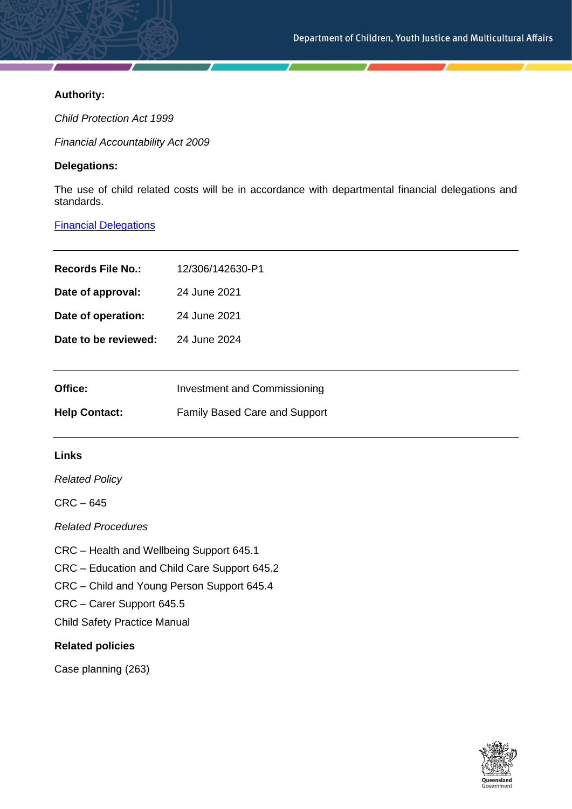# **Authority:**

*Child Protection Act 1999*

*Financial Accountability Act 2009*

# **Delegations:**

The use of child related costs will be in accordance with departmental financial delegations and standards.

# [Financial Delegations](https://cyjmaintranet.root.internal/finance-procurement/financial-delegations)

| <b>Records File No.:</b> | 12/306/142630-P1                     |
|--------------------------|--------------------------------------|
| Date of approval:        | 24 June 2021                         |
| Date of operation:       | 24 June 2021                         |
| Date to be reviewed:     | 24 June 2024                         |
|                          |                                      |
| Office:                  | Investment and Commissioning         |
| <b>Help Contact:</b>     | <b>Family Based Care and Support</b> |

# **Links**

*Related Policy*

CRC – 645

*Related Procedures*

CRC – Health and Wellbeing Support 645.1

CRC – Education and Child Care Support 645.2

CRC – Child and Young Person Support 645.4

CRC – Carer Support 645.5

Child Safety Practice Manual

# **Related policies**

Case planning (263)